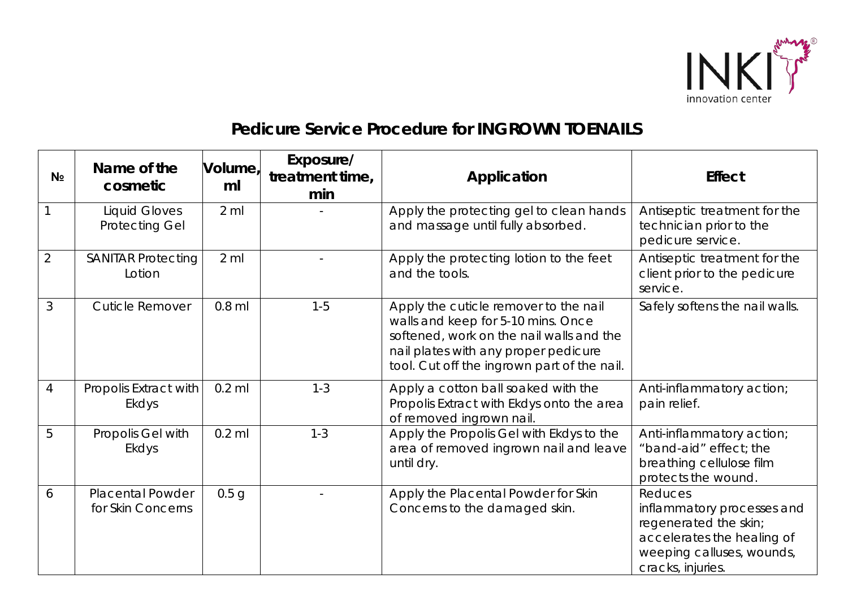

## *Pedicure Service Procedure for* **INGROWN TOENAILS**

| N <sub>2</sub> | Name of the<br>cosmetic                       | Volume,<br>ml    | Exposure/<br>treatment time,<br>min | Application                                                                                                                                                                                                    | <b>Effect</b>                                                                                                                                  |
|----------------|-----------------------------------------------|------------------|-------------------------------------|----------------------------------------------------------------------------------------------------------------------------------------------------------------------------------------------------------------|------------------------------------------------------------------------------------------------------------------------------------------------|
| $\mathbf{1}$   | <b>Liquid Gloves</b><br><b>Protecting Gel</b> | $2$ ml           |                                     | Apply the protecting gel to clean hands<br>and massage until fully absorbed.                                                                                                                                   | Antiseptic treatment for the<br>technician prior to the<br>pedicure service.                                                                   |
| $\overline{2}$ | <b>SANITAR Protecting</b><br>Lotion           | $2$ ml           |                                     | Apply the protecting lotion to the feet<br>and the tools.                                                                                                                                                      | Antiseptic treatment for the<br>client prior to the pedicure<br>service.                                                                       |
| 3              | <b>Cuticle Remover</b>                        | $0.8$ ml         | $1 - 5$                             | Apply the cuticle remover to the nail<br>walls and keep for 5-10 mins. Once<br>softened, work on the nail walls and the<br>nail plates with any proper pedicure<br>tool. Cut off the ingrown part of the nail. | Safely softens the nail walls.                                                                                                                 |
| $\overline{4}$ | Propolis Extract with<br>Ekdys                | $0.2$ ml         | $1 - 3$                             | Apply a cotton ball soaked with the<br>Propolis Extract with Ekdys onto the area<br>of removed ingrown nail.                                                                                                   | Anti-inflammatory action;<br>pain relief.                                                                                                      |
| 5              | Propolis Gel with<br><b>Ekdys</b>             | $0.2$ ml         | $1 - 3$                             | Apply the Propolis Gel with Ekdys to the<br>area of removed ingrown nail and leave<br>until dry.                                                                                                               | Anti-inflammatory action;<br>"band-aid" effect; the<br>breathing cellulose film<br>protects the wound.                                         |
| 6              | <b>Placental Powder</b><br>for Skin Concerns  | 0.5 <sub>q</sub> |                                     | Apply the Placental Powder for Skin<br>Concerns to the damaged skin.                                                                                                                                           | Reduces<br>inflammatory processes and<br>regenerated the skin;<br>accelerates the healing of<br>weeping calluses, wounds,<br>cracks, injuries. |